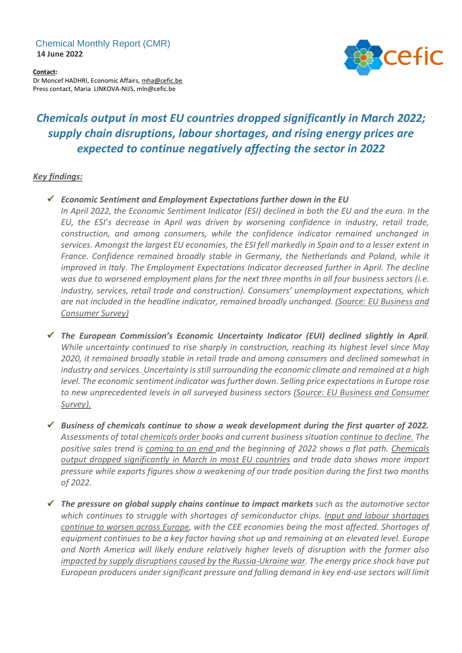## Chemical Monthly Report (CMR) **14 June 2022**



**Contact:** Dr Moncef HADHRI, Economic Affairs, [mha@cefic.be](mailto:mha@cefic.be) Press contact, Maria LINKOVA-NIJS, mln@cefic.be

## *Chemicals output in most EU countries dropped significantly in March 2022; supply chain disruptions, labour shortages, and rising energy prices are expected to continue negatively affecting the sector in 2022*

## *Key findings:*

✓ *Economic Sentiment and Employment Expectations further down in the EU*

*In April 2022, the Economic Sentiment Indicator (ESI) declined in both the EU and the euro. In the EU, the ESI's decrease in April was driven by worsening confidence in industry, retail trade, construction, and among consumers, while the confidence indicator remained unchanged in* services. Amongst the largest EU economies, the ESI fell markedly in Spain and to a lesser extent in *France. Confidence remained broadly stable in Germany, the Netherlands and Poland, while it improved in Italy. The Employment Expectations Indicator decreased further in April. The decline was due to worsened employment plans for the next three months in all four business sectors (i.e. industry, services, retail trade and construction). Consumers' unemployment expectations, which are not included in the headline indicator, remained broadly unchanged. (Source: EU Business and Consumer Survey)*

✓ *The European Commission's Economic Uncertainty Indicator (EUI) declined slightly in April. While uncertainty continued to rise sharply in construction, reaching its highest level since May 2020, it remained broadly stable in retail trade and among consumers and declined somewhat in industry and services. Uncertainty isstill surrounding the economic climate and remained at a high level. The economic sentiment indicator wasfurther down. Selling price expectations in Europe rose to new unprecedented levels in all surveyed business sectors (Source: EU Business and Consumer Survey).*

✓ *Business of chemicals continue to show a weak development during the first quarter of 2022. Assessments of total chemicals order books and current business situation continue to decline. The positive sales trend is coming to an end and the beginning of 2022 shows a flat path. Chemicals output dropped significantly in March in most EU countries and trade data shows more import pressure while exports figures show a weakening of our trade position during the first two months of 2022.*

✓ *The pressure on global supply chains continue to impact markets such as the automotive sector which continues to struggle with shortages of semiconductor chips. Input and labour shortages continue to worsen across Europe, with the CEE economies being the most affected. Shortages of equipment continues to be a key factor having shot up and remaining at an elevated level. Europe and North America will likely endure relatively higher levels of disruption with the former also impacted by supply disruptions caused by the Russia-Ukraine war. The energy price shock have put European producers under significant pressure and falling demand in key end-use sectors will limit*